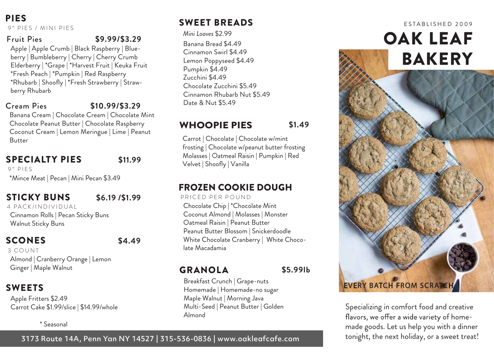PIES 9" PIES / MINI PIES

#### Fruit Pies **\$9.99/\$3.29**

Apple | Apple Crumb | Black Raspberry | Blueberry | Bumbleberry | Cherry | Cherry Crumb Elderberry | \*Grape | \*Harvest Fruit | Keuka Fruit \*Fresh Peach | \*Pumpkin | Red Raspberry \*Rhubarb | Shoofly | \*Fresh Strawberry | Strawberry Rhubarb

#### Cream Pies

#### **\$10.99/\$3.29**

Banana Cream | Chocolate Cream | Chocolate Mint Chocolate Peanut Butter | Chocolate Raspberry Coconut Cream | Lemon Meringue | Lime | Peanut Butter

## SPECIALTY PIES

**\$11.99**

9" PIFS

\*Mince Meat | Pecan | Mini Pecan \$3.49

## STICKY BUNS

**\$6.19 /\$1.99**

Cinnamon Rolls | Pecan Sticky Buns Walnut Sticky Buns 4 PACK/INDIVIDUAL

#### **SCONES**

**\$4.49**

#### 3 COUNT

Almond | Cranberry Orange | Lemon Ginger | Maple Walnut

## SWEETS

Apple Fritters \$2.49 Carrot Cake \$1.99/slice | \$14.99/whole

#### \* Seasonal

#### 3173 Route 14A, Penn Yan NY 14527 | 315-536-0836 | www.oakleafcafe.com

## SWEET BREADS

*Mini Loaves* \$2.99 Banana Bread \$4.49 Cinnamon Swirl \$4.49 Lemon Poppyseed \$4.49 Pumpkin \$4.49 Zucchini \$4.49 Chocolate Zucchini \$5.49 Cinnamon Rhubarb Nut \$5.49 Date & Nut \$5.49

## WHOOPIE PIES **\$1.49**

Carrot | Chocolate | Chocolate w/mint frosting | Chocolate w/peanut butter frosting Molasses | Oatmeal Raisin | Pumpkin | Red Velvet | Shoofly | Vanilla

## FROZEN COOKIE DOUGH

Chocolate Chip | \*Chocolate Mint Coconut Almond | Molasses | Monster Oatmeal Raisin | Peanut Butter Peanut Butter Blossom | Snickerdoodle White Chocolate Cranberry | White Chocolate Macadamia PRICED PER POUND

#### GRANOLA

**\$5.99lb**

Breakfast Crunch | Grape-nuts Homemade | Homemade-no sugar Maple Walnut | Morning Java Multi-Seed | Peanut Butter | Golden Almond



Specializing in comfort food and creative flavors, we offer a wide variety of homemade goods. Let us help you with a dinner tonight, the next holiday, or a sweet treat!